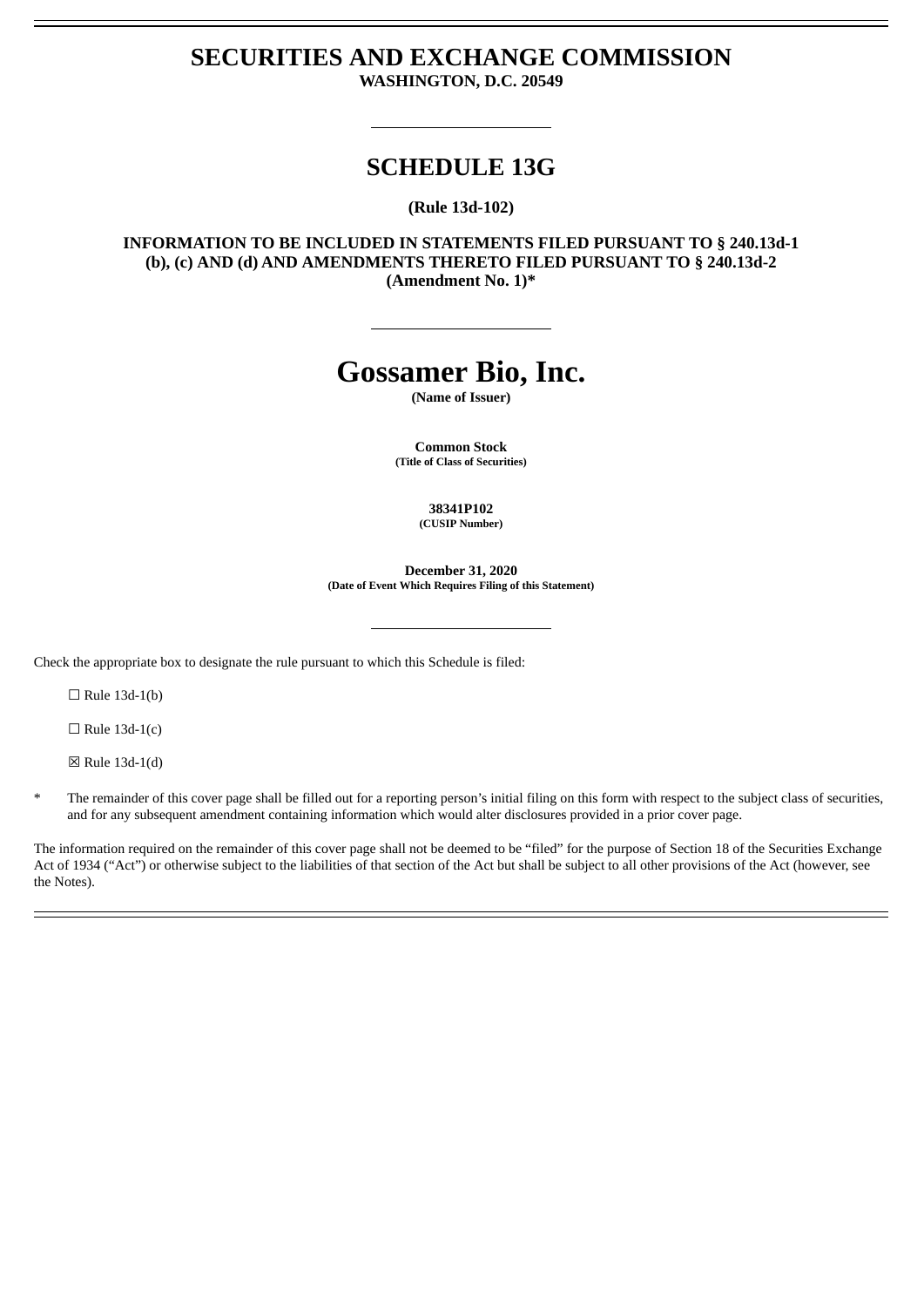# **SECURITIES AND EXCHANGE COMMISSION WASHINGTON, D.C. 20549**

# **SCHEDULE 13G**

**(Rule 13d-102)**

**INFORMATION TO BE INCLUDED IN STATEMENTS FILED PURSUANT TO § 240.13d-1 (b), (c) AND (d) AND AMENDMENTS THERETO FILED PURSUANT TO § 240.13d-2 (Amendment No. 1)\***

# **Gossamer Bio, Inc.**

**(Name of Issuer)**

**Common Stock (Title of Class of Securities)**

> **38341P102 (CUSIP Number)**

**December 31, 2020 (Date of Event Which Requires Filing of this Statement)**

Check the appropriate box to designate the rule pursuant to which this Schedule is filed:

 $\Box$  Rule 13d-1(b)

 $\Box$  Rule 13d-1(c)

☒ Rule 13d-1(d)

The remainder of this cover page shall be filled out for a reporting person's initial filing on this form with respect to the subject class of securities, and for any subsequent amendment containing information which would alter disclosures provided in a prior cover page.

The information required on the remainder of this cover page shall not be deemed to be "filed" for the purpose of Section 18 of the Securities Exchange Act of 1934 ("Act") or otherwise subject to the liabilities of that section of the Act but shall be subject to all other provisions of the Act (however, see the Notes).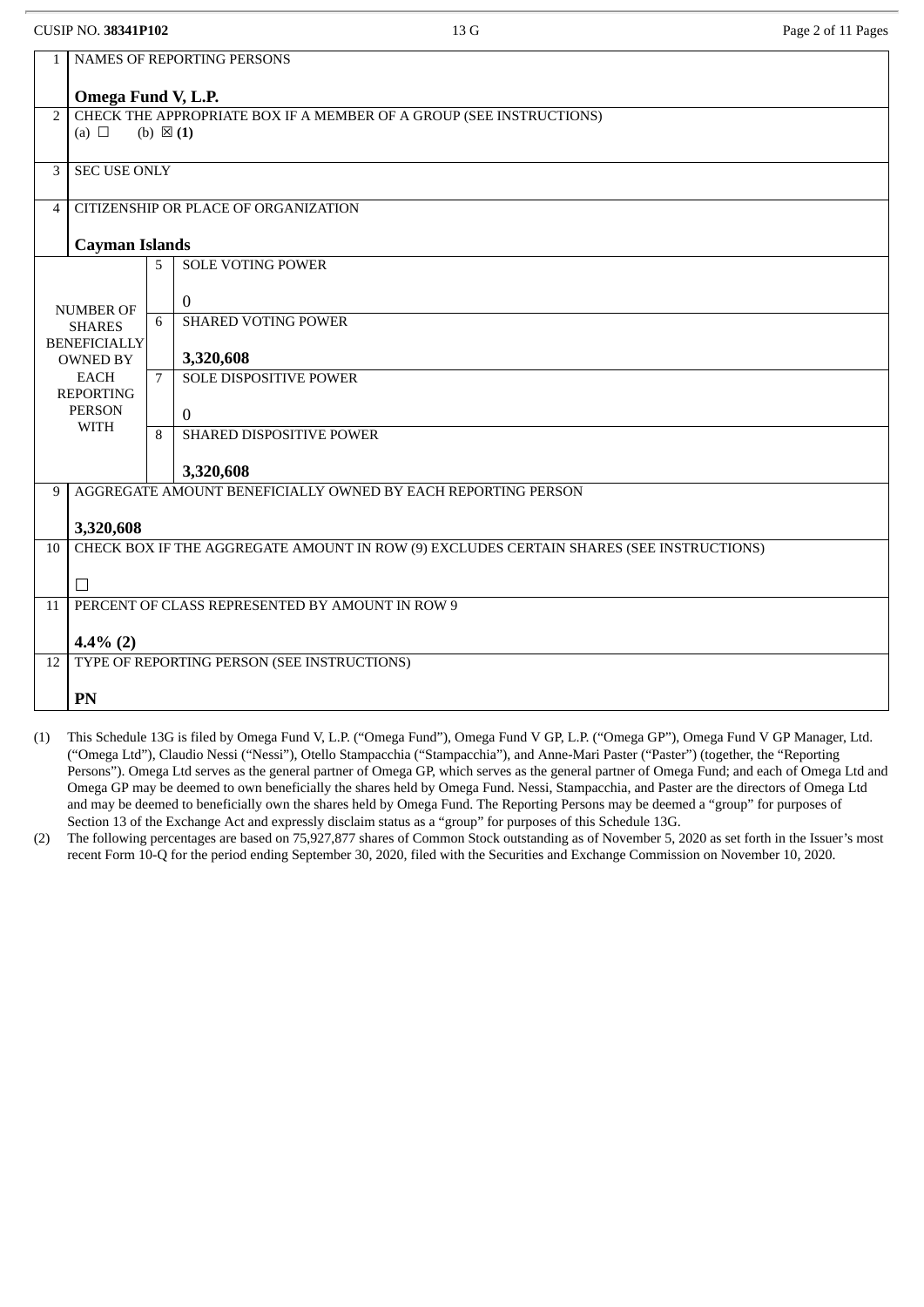|                                            |                                                                                                                        | 13 G                                                                     | Page 2 of 11 Pages                                                                                                                                                                                                                                                                                                                                                                                                                                                                                            |  |  |
|--------------------------------------------|------------------------------------------------------------------------------------------------------------------------|--------------------------------------------------------------------------|---------------------------------------------------------------------------------------------------------------------------------------------------------------------------------------------------------------------------------------------------------------------------------------------------------------------------------------------------------------------------------------------------------------------------------------------------------------------------------------------------------------|--|--|
| NAMES OF REPORTING PERSONS<br>$\mathbf{1}$ |                                                                                                                        |                                                                          |                                                                                                                                                                                                                                                                                                                                                                                                                                                                                                               |  |  |
|                                            |                                                                                                                        |                                                                          |                                                                                                                                                                                                                                                                                                                                                                                                                                                                                                               |  |  |
|                                            |                                                                                                                        |                                                                          |                                                                                                                                                                                                                                                                                                                                                                                                                                                                                                               |  |  |
|                                            |                                                                                                                        |                                                                          |                                                                                                                                                                                                                                                                                                                                                                                                                                                                                                               |  |  |
|                                            |                                                                                                                        |                                                                          |                                                                                                                                                                                                                                                                                                                                                                                                                                                                                                               |  |  |
|                                            |                                                                                                                        |                                                                          |                                                                                                                                                                                                                                                                                                                                                                                                                                                                                                               |  |  |
|                                            |                                                                                                                        |                                                                          |                                                                                                                                                                                                                                                                                                                                                                                                                                                                                                               |  |  |
|                                            | $\overline{5}$                                                                                                         |                                                                          |                                                                                                                                                                                                                                                                                                                                                                                                                                                                                                               |  |  |
|                                            |                                                                                                                        | $\Omega$                                                                 |                                                                                                                                                                                                                                                                                                                                                                                                                                                                                                               |  |  |
|                                            | 6                                                                                                                      | <b>SHARED VOTING POWER</b>                                               |                                                                                                                                                                                                                                                                                                                                                                                                                                                                                                               |  |  |
|                                            |                                                                                                                        | 3,320,608                                                                |                                                                                                                                                                                                                                                                                                                                                                                                                                                                                                               |  |  |
| <b>EACH</b>                                | $7\overline{ }$                                                                                                        | <b>SOLE DISPOSITIVE POWER</b>                                            |                                                                                                                                                                                                                                                                                                                                                                                                                                                                                                               |  |  |
|                                            |                                                                                                                        | $\mathbf{0}$                                                             |                                                                                                                                                                                                                                                                                                                                                                                                                                                                                                               |  |  |
|                                            | 8                                                                                                                      |                                                                          |                                                                                                                                                                                                                                                                                                                                                                                                                                                                                                               |  |  |
|                                            |                                                                                                                        | 3,320,608                                                                |                                                                                                                                                                                                                                                                                                                                                                                                                                                                                                               |  |  |
|                                            |                                                                                                                        |                                                                          |                                                                                                                                                                                                                                                                                                                                                                                                                                                                                                               |  |  |
| 3,320,608                                  |                                                                                                                        |                                                                          |                                                                                                                                                                                                                                                                                                                                                                                                                                                                                                               |  |  |
|                                            |                                                                                                                        |                                                                          |                                                                                                                                                                                                                                                                                                                                                                                                                                                                                                               |  |  |
| $\Box$                                     |                                                                                                                        |                                                                          |                                                                                                                                                                                                                                                                                                                                                                                                                                                                                                               |  |  |
|                                            |                                                                                                                        |                                                                          |                                                                                                                                                                                                                                                                                                                                                                                                                                                                                                               |  |  |
| $4.4\%$ (2)                                |                                                                                                                        |                                                                          |                                                                                                                                                                                                                                                                                                                                                                                                                                                                                                               |  |  |
|                                            |                                                                                                                        |                                                                          |                                                                                                                                                                                                                                                                                                                                                                                                                                                                                                               |  |  |
| PN                                         |                                                                                                                        |                                                                          |                                                                                                                                                                                                                                                                                                                                                                                                                                                                                                               |  |  |
|                                            | (a) $\Box$<br><b>NUMBER OF</b><br><b>SHARES</b><br><b>OWNED BY</b><br><b>REPORTING</b><br><b>PERSON</b><br><b>WITH</b> | <b>CUSIP NO. 38341P102</b><br><b>SEC USE ONLY</b><br><b>BENEFICIALLY</b> | Omega Fund V, L.P.<br>CHECK THE APPROPRIATE BOX IF A MEMBER OF A GROUP (SEE INSTRUCTIONS)<br>(b) $\boxtimes$ (1)<br>CITIZENSHIP OR PLACE OF ORGANIZATION<br><b>Cayman Islands</b><br><b>SOLE VOTING POWER</b><br><b>SHARED DISPOSITIVE POWER</b><br>AGGREGATE AMOUNT BENEFICIALLY OWNED BY EACH REPORTING PERSON<br>CHECK BOX IF THE AGGREGATE AMOUNT IN ROW (9) EXCLUDES CERTAIN SHARES (SEE INSTRUCTIONS)<br>PERCENT OF CLASS REPRESENTED BY AMOUNT IN ROW 9<br>TYPE OF REPORTING PERSON (SEE INSTRUCTIONS) |  |  |

- (1) This Schedule 13G is filed by Omega Fund V, L.P. ("Omega Fund"), Omega Fund V GP, L.P. ("Omega GP"), Omega Fund V GP Manager, Ltd. ("Omega Ltd"), Claudio Nessi ("Nessi"), Otello Stampacchia ("Stampacchia"), and Anne-Mari Paster ("Paster") (together, the "Reporting Persons"). Omega Ltd serves as the general partner of Omega GP, which serves as the general partner of Omega Fund; and each of Omega Ltd and Omega GP may be deemed to own beneficially the shares held by Omega Fund. Nessi, Stampacchia, and Paster are the directors of Omega Ltd and may be deemed to beneficially own the shares held by Omega Fund. The Reporting Persons may be deemed a "group" for purposes of Section 13 of the Exchange Act and expressly disclaim status as a "group" for purposes of this Schedule 13G.
- (2) The following percentages are based on 75,927,877 shares of Common Stock outstanding as of November 5, 2020 as set forth in the Issuer's most recent Form 10-Q for the period ending September 30, 2020, filed with the Securities and Exchange Commission on November 10, 2020.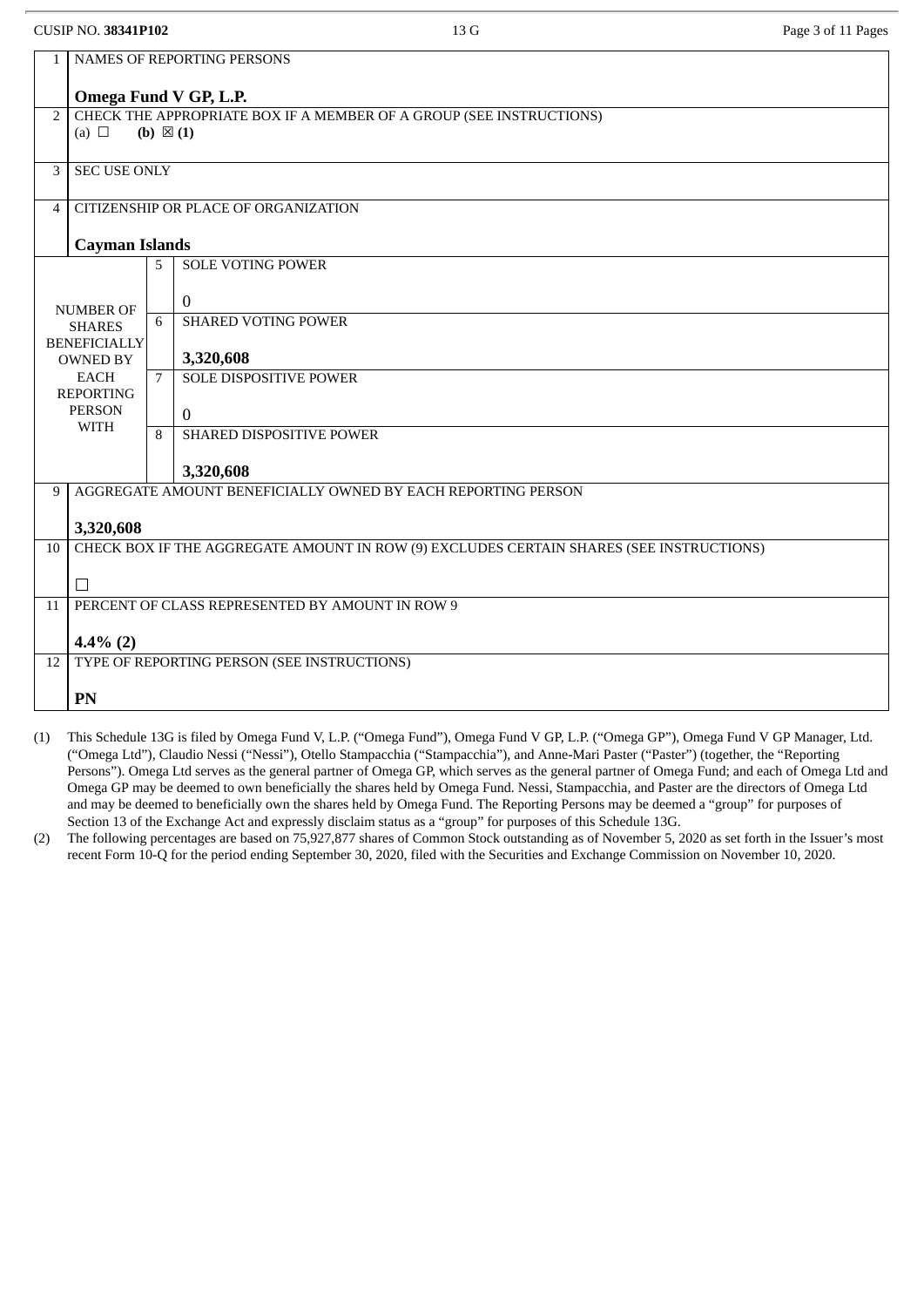|                | <b>CUSIP NO. 38341P102</b>             |                     | 13 G                                                                                    | Page 3 of 11 Pages |
|----------------|----------------------------------------|---------------------|-----------------------------------------------------------------------------------------|--------------------|
| 1              |                                        |                     | NAMES OF REPORTING PERSONS                                                              |                    |
|                |                                        |                     | Omega Fund V GP, L.P.                                                                   |                    |
| $\overline{2}$ |                                        |                     | CHECK THE APPROPRIATE BOX IF A MEMBER OF A GROUP (SEE INSTRUCTIONS)                     |                    |
|                | (a) $\Box$                             | (b) $\boxtimes$ (1) |                                                                                         |                    |
| 3              | <b>SEC USE ONLY</b>                    |                     |                                                                                         |                    |
| 4              |                                        |                     | CITIZENSHIP OR PLACE OF ORGANIZATION                                                    |                    |
|                | <b>Cayman Islands</b>                  |                     |                                                                                         |                    |
|                |                                        | 5                   | <b>SOLE VOTING POWER</b>                                                                |                    |
|                | <b>NUMBER OF</b>                       |                     | $\Omega$                                                                                |                    |
|                | <b>SHARES</b>                          | 6                   | <b>SHARED VOTING POWER</b>                                                              |                    |
|                | <b>BENEFICIALLY</b><br><b>OWNED BY</b> |                     | 3,320,608                                                                               |                    |
|                | <b>EACH</b><br><b>REPORTING</b>        | $7^{\circ}$         | <b>SOLE DISPOSITIVE POWER</b>                                                           |                    |
|                | <b>PERSON</b>                          |                     | $\Omega$                                                                                |                    |
|                | <b>WITH</b>                            | 8                   | <b>SHARED DISPOSITIVE POWER</b>                                                         |                    |
|                |                                        |                     | 3,320,608                                                                               |                    |
| 9              |                                        |                     | AGGREGATE AMOUNT BENEFICIALLY OWNED BY EACH REPORTING PERSON                            |                    |
|                | 3,320,608                              |                     |                                                                                         |                    |
| 10             |                                        |                     | CHECK BOX IF THE AGGREGATE AMOUNT IN ROW (9) EXCLUDES CERTAIN SHARES (SEE INSTRUCTIONS) |                    |
|                | $\Box$                                 |                     |                                                                                         |                    |
| 11             |                                        |                     | PERCENT OF CLASS REPRESENTED BY AMOUNT IN ROW 9                                         |                    |
|                | $4.4\%$ (2)                            |                     |                                                                                         |                    |
| 12             |                                        |                     | TYPE OF REPORTING PERSON (SEE INSTRUCTIONS)                                             |                    |
|                | PN                                     |                     |                                                                                         |                    |

- (1) This Schedule 13G is filed by Omega Fund V, L.P. ("Omega Fund"), Omega Fund V GP, L.P. ("Omega GP"), Omega Fund V GP Manager, Ltd. ("Omega Ltd"), Claudio Nessi ("Nessi"), Otello Stampacchia ("Stampacchia"), and Anne-Mari Paster ("Paster") (together, the "Reporting Persons"). Omega Ltd serves as the general partner of Omega GP, which serves as the general partner of Omega Fund; and each of Omega Ltd and Omega GP may be deemed to own beneficially the shares held by Omega Fund. Nessi, Stampacchia, and Paster are the directors of Omega Ltd and may be deemed to beneficially own the shares held by Omega Fund. The Reporting Persons may be deemed a "group" for purposes of Section 13 of the Exchange Act and expressly disclaim status as a "group" for purposes of this Schedule 13G.
- (2) The following percentages are based on 75,927,877 shares of Common Stock outstanding as of November 5, 2020 as set forth in the Issuer's most recent Form 10-Q for the period ending September 30, 2020, filed with the Securities and Exchange Commission on November 10, 2020.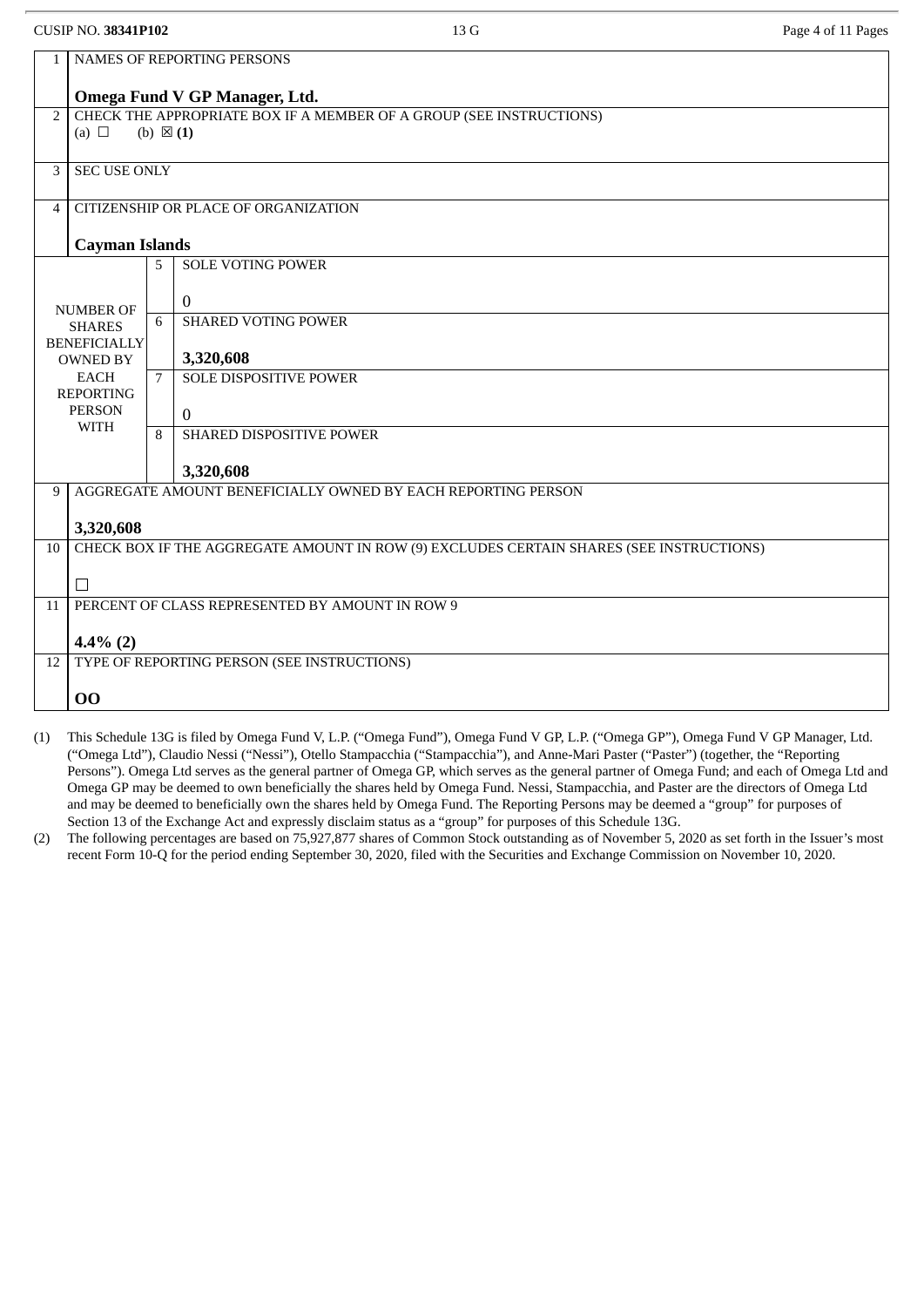|                | <b>CUSIP NO. 38341P102</b>                                 |                     | 13 G                                                                                    | Page 4 of 11 Pages |  |  |
|----------------|------------------------------------------------------------|---------------------|-----------------------------------------------------------------------------------------|--------------------|--|--|
| $\mathbf{1}$   | NAMES OF REPORTING PERSONS                                 |                     |                                                                                         |                    |  |  |
|                |                                                            |                     | Omega Fund V GP Manager, Ltd.                                                           |                    |  |  |
| $\overline{2}$ |                                                            |                     | CHECK THE APPROPRIATE BOX IF A MEMBER OF A GROUP (SEE INSTRUCTIONS)                     |                    |  |  |
|                | (a) $\Box$                                                 | (b) $\boxtimes$ (1) |                                                                                         |                    |  |  |
| 3              | <b>SEC USE ONLY</b>                                        |                     |                                                                                         |                    |  |  |
| $\overline{4}$ |                                                            |                     | CITIZENSHIP OR PLACE OF ORGANIZATION                                                    |                    |  |  |
|                |                                                            |                     |                                                                                         |                    |  |  |
|                | <b>Cayman Islands</b>                                      |                     |                                                                                         |                    |  |  |
|                |                                                            | 5                   | <b>SOLE VOTING POWER</b>                                                                |                    |  |  |
|                | <b>NUMBER OF</b>                                           |                     | $\mathbf{0}$                                                                            |                    |  |  |
|                | <b>SHARES</b>                                              | 6                   | <b>SHARED VOTING POWER</b>                                                              |                    |  |  |
|                | <b>BENEFICIALLY</b><br><b>OWNED BY</b>                     |                     | 3,320,608                                                                               |                    |  |  |
|                | <b>EACH</b><br><b>REPORTING</b>                            | $7^{\circ}$         | <b>SOLE DISPOSITIVE POWER</b>                                                           |                    |  |  |
|                | <b>PERSON</b>                                              |                     | $\theta$                                                                                |                    |  |  |
|                | <b>WITH</b>                                                | 8                   | SHARED DISPOSITIVE POWER                                                                |                    |  |  |
|                |                                                            |                     | 3,320,608                                                                               |                    |  |  |
| 9              |                                                            |                     | AGGREGATE AMOUNT BENEFICIALLY OWNED BY EACH REPORTING PERSON                            |                    |  |  |
|                | 3,320,608                                                  |                     |                                                                                         |                    |  |  |
| 10             |                                                            |                     | CHECK BOX IF THE AGGREGATE AMOUNT IN ROW (9) EXCLUDES CERTAIN SHARES (SEE INSTRUCTIONS) |                    |  |  |
|                | П                                                          |                     |                                                                                         |                    |  |  |
| 11             | PERCENT OF CLASS REPRESENTED BY AMOUNT IN ROW 9            |                     |                                                                                         |                    |  |  |
|                |                                                            |                     |                                                                                         |                    |  |  |
| 12             | $4.4\%$ (2)<br>TYPE OF REPORTING PERSON (SEE INSTRUCTIONS) |                     |                                                                                         |                    |  |  |
|                |                                                            |                     |                                                                                         |                    |  |  |
|                | 00                                                         |                     |                                                                                         |                    |  |  |

- (1) This Schedule 13G is filed by Omega Fund V, L.P. ("Omega Fund"), Omega Fund V GP, L.P. ("Omega GP"), Omega Fund V GP Manager, Ltd. ("Omega Ltd"), Claudio Nessi ("Nessi"), Otello Stampacchia ("Stampacchia"), and Anne-Mari Paster ("Paster") (together, the "Reporting Persons"). Omega Ltd serves as the general partner of Omega GP, which serves as the general partner of Omega Fund; and each of Omega Ltd and Omega GP may be deemed to own beneficially the shares held by Omega Fund. Nessi, Stampacchia, and Paster are the directors of Omega Ltd and may be deemed to beneficially own the shares held by Omega Fund. The Reporting Persons may be deemed a "group" for purposes of Section 13 of the Exchange Act and expressly disclaim status as a "group" for purposes of this Schedule 13G.
- (2) The following percentages are based on 75,927,877 shares of Common Stock outstanding as of November 5, 2020 as set forth in the Issuer's most recent Form 10-Q for the period ending September 30, 2020, filed with the Securities and Exchange Commission on November 10, 2020.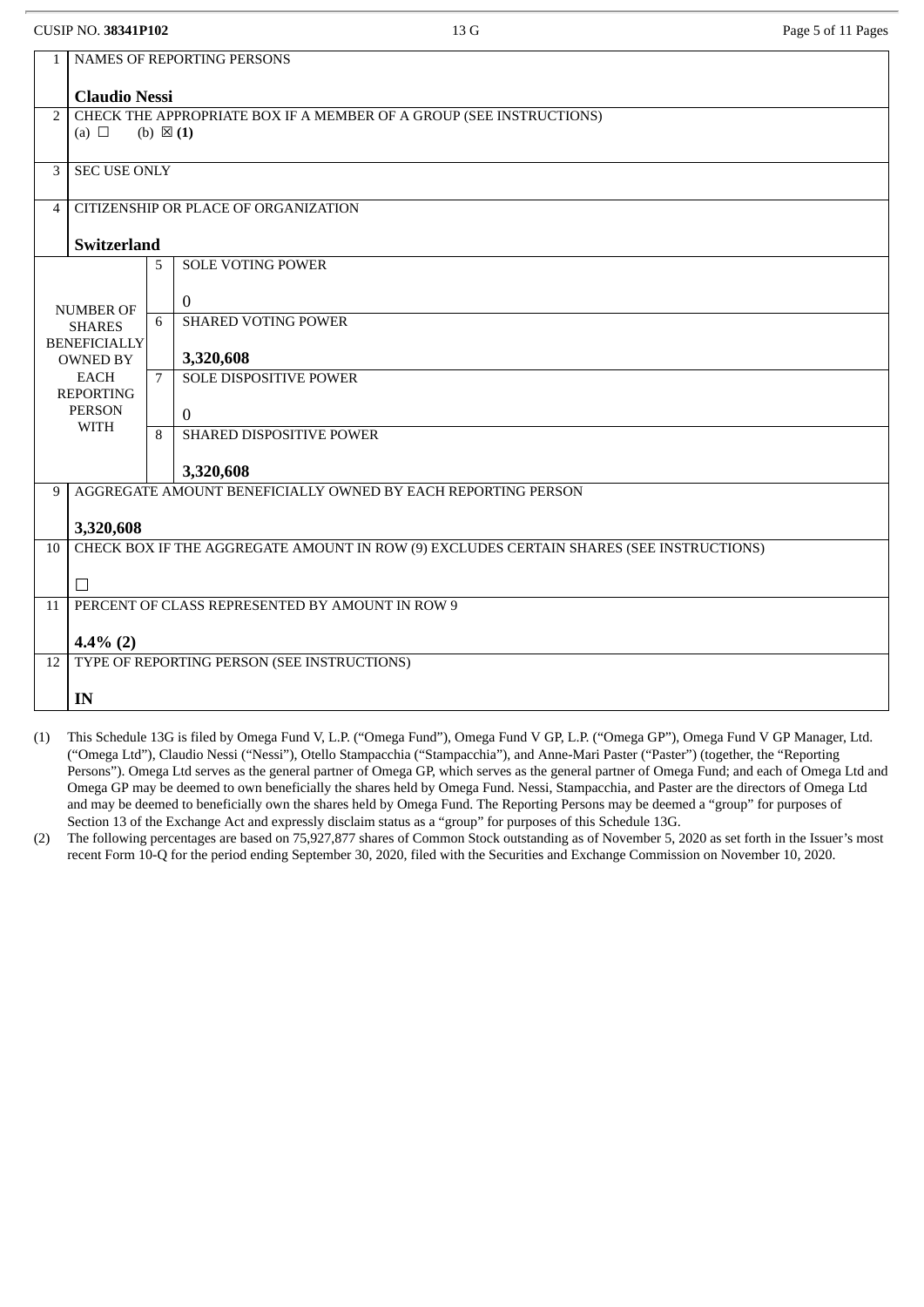| <b>CUSIP NO. 38341P102</b> |  |
|----------------------------|--|
|----------------------------|--|

| $\mathbf{1}$   | NAMES OF REPORTING PERSONS                                                              |                     |                                                              |  |  |  |
|----------------|-----------------------------------------------------------------------------------------|---------------------|--------------------------------------------------------------|--|--|--|
|                |                                                                                         |                     |                                                              |  |  |  |
|                | <b>Claudio Nessi</b>                                                                    |                     |                                                              |  |  |  |
| $\overline{2}$ | CHECK THE APPROPRIATE BOX IF A MEMBER OF A GROUP (SEE INSTRUCTIONS)                     |                     |                                                              |  |  |  |
|                | (a) $\Box$                                                                              | (b) $\boxtimes$ (1) |                                                              |  |  |  |
|                |                                                                                         |                     |                                                              |  |  |  |
| 3              | <b>SEC USE ONLY</b>                                                                     |                     |                                                              |  |  |  |
|                |                                                                                         |                     |                                                              |  |  |  |
| $\overline{4}$ |                                                                                         |                     | CITIZENSHIP OR PLACE OF ORGANIZATION                         |  |  |  |
|                |                                                                                         |                     |                                                              |  |  |  |
|                | <b>Switzerland</b>                                                                      |                     |                                                              |  |  |  |
|                |                                                                                         | 5                   | <b>SOLE VOTING POWER</b>                                     |  |  |  |
|                |                                                                                         |                     |                                                              |  |  |  |
|                | <b>NUMBER OF</b>                                                                        |                     | $\overline{0}$                                               |  |  |  |
|                | <b>SHARES</b>                                                                           | 6                   | <b>SHARED VOTING POWER</b>                                   |  |  |  |
|                | <b>BENEFICIALLY</b>                                                                     |                     |                                                              |  |  |  |
|                | <b>OWNED BY</b>                                                                         |                     | 3,320,608                                                    |  |  |  |
|                | <b>EACH</b>                                                                             | $\overline{7}$      | <b>SOLE DISPOSITIVE POWER</b>                                |  |  |  |
|                | <b>REPORTING</b>                                                                        |                     |                                                              |  |  |  |
|                | <b>PERSON</b><br><b>WITH</b>                                                            |                     | $\mathbf{0}$                                                 |  |  |  |
|                |                                                                                         | 8                   | <b>SHARED DISPOSITIVE POWER</b>                              |  |  |  |
|                |                                                                                         |                     |                                                              |  |  |  |
|                |                                                                                         |                     | 3,320,608                                                    |  |  |  |
| 9              |                                                                                         |                     | AGGREGATE AMOUNT BENEFICIALLY OWNED BY EACH REPORTING PERSON |  |  |  |
|                |                                                                                         |                     |                                                              |  |  |  |
|                | 3,320,608                                                                               |                     |                                                              |  |  |  |
| 10             | CHECK BOX IF THE AGGREGATE AMOUNT IN ROW (9) EXCLUDES CERTAIN SHARES (SEE INSTRUCTIONS) |                     |                                                              |  |  |  |
|                |                                                                                         |                     |                                                              |  |  |  |
|                | $\perp$                                                                                 |                     |                                                              |  |  |  |
| 11             | PERCENT OF CLASS REPRESENTED BY AMOUNT IN ROW 9                                         |                     |                                                              |  |  |  |
|                |                                                                                         |                     |                                                              |  |  |  |
|                | $4.4\%$ (2)                                                                             |                     |                                                              |  |  |  |
| 12             |                                                                                         |                     | TYPE OF REPORTING PERSON (SEE INSTRUCTIONS)                  |  |  |  |
|                |                                                                                         |                     |                                                              |  |  |  |
|                | IN                                                                                      |                     |                                                              |  |  |  |
|                |                                                                                         |                     |                                                              |  |  |  |

- (1) This Schedule 13G is filed by Omega Fund V, L.P. ("Omega Fund"), Omega Fund V GP, L.P. ("Omega GP"), Omega Fund V GP Manager, Ltd. ("Omega Ltd"), Claudio Nessi ("Nessi"), Otello Stampacchia ("Stampacchia"), and Anne-Mari Paster ("Paster") (together, the "Reporting Persons"). Omega Ltd serves as the general partner of Omega GP, which serves as the general partner of Omega Fund; and each of Omega Ltd and Omega GP may be deemed to own beneficially the shares held by Omega Fund. Nessi, Stampacchia, and Paster are the directors of Omega Ltd and may be deemed to beneficially own the shares held by Omega Fund. The Reporting Persons may be deemed a "group" for purposes of Section 13 of the Exchange Act and expressly disclaim status as a "group" for purposes of this Schedule 13G.
- (2) The following percentages are based on 75,927,877 shares of Common Stock outstanding as of November 5, 2020 as set forth in the Issuer's most recent Form 10-Q for the period ending September 30, 2020, filed with the Securities and Exchange Commission on November 10, 2020.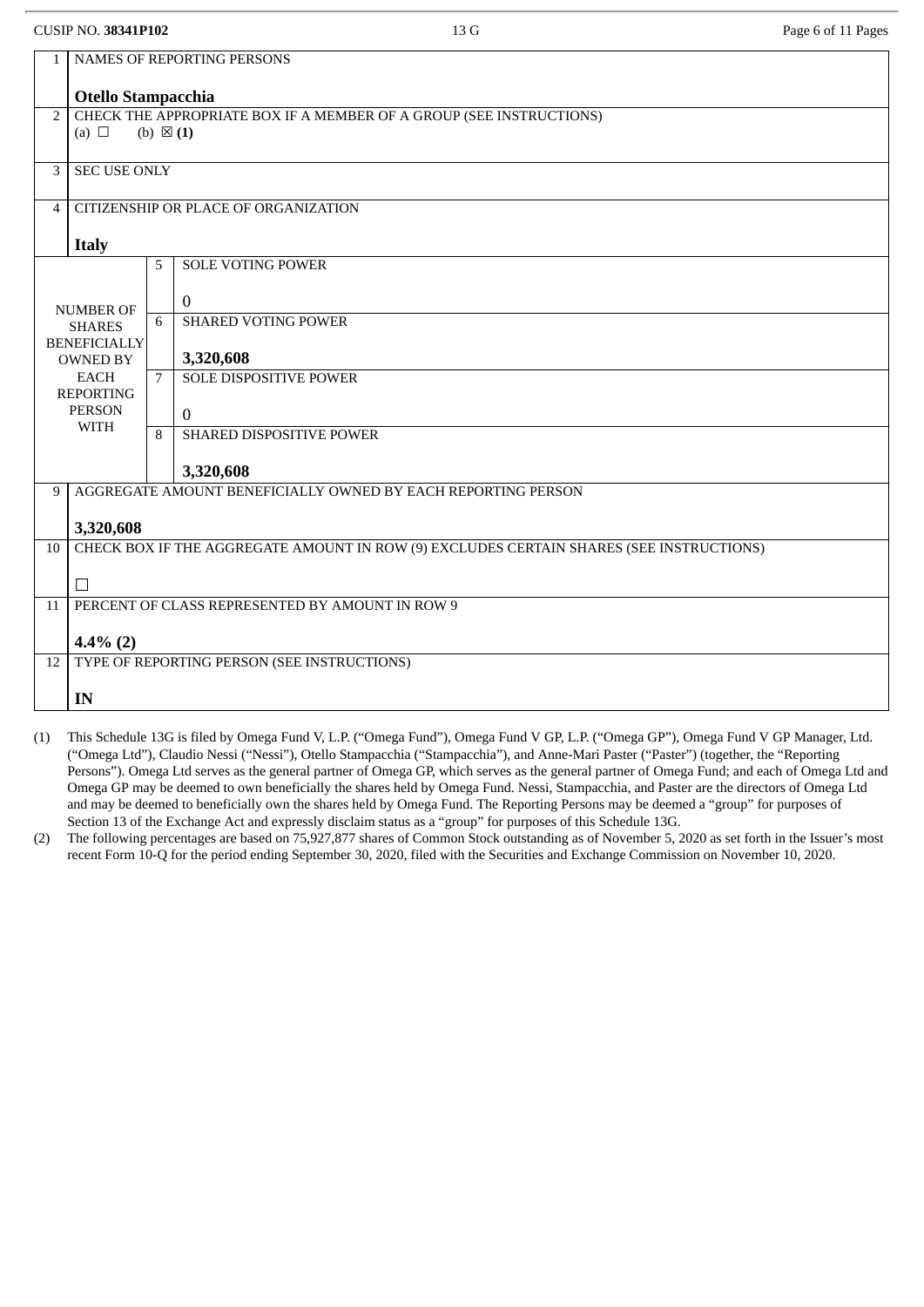|                | <b>CUSIP NO. 38341P102</b>                      |                     | 13 G                                                                                    | Page 6 of 11 Pages |  |  |
|----------------|-------------------------------------------------|---------------------|-----------------------------------------------------------------------------------------|--------------------|--|--|
| 1              | NAMES OF REPORTING PERSONS                      |                     |                                                                                         |                    |  |  |
|                | Otello Stampacchia                              |                     |                                                                                         |                    |  |  |
| $\overline{2}$ |                                                 |                     | CHECK THE APPROPRIATE BOX IF A MEMBER OF A GROUP (SEE INSTRUCTIONS)                     |                    |  |  |
|                | (a) $\Box$                                      | (b) $\boxtimes$ (1) |                                                                                         |                    |  |  |
| 3              | <b>SEC USE ONLY</b>                             |                     |                                                                                         |                    |  |  |
| 4              |                                                 |                     | <b>CITIZENSHIP OR PLACE OF ORGANIZATION</b>                                             |                    |  |  |
|                | <b>Italy</b>                                    |                     |                                                                                         |                    |  |  |
|                |                                                 | 5                   | <b>SOLE VOTING POWER</b>                                                                |                    |  |  |
|                | <b>NUMBER OF</b>                                |                     | $\mathbf 0$                                                                             |                    |  |  |
|                | <b>SHARES</b>                                   | 6                   | <b>SHARED VOTING POWER</b>                                                              |                    |  |  |
|                | <b>BENEFICIALLY</b><br><b>OWNED BY</b>          |                     | 3,320,608                                                                               |                    |  |  |
|                | <b>EACH</b><br><b>REPORTING</b>                 | $\overline{7}$      | <b>SOLE DISPOSITIVE POWER</b>                                                           |                    |  |  |
|                | <b>PERSON</b>                                   |                     | $\mathbf{0}$                                                                            |                    |  |  |
|                | <b>WITH</b>                                     | 8                   | <b>SHARED DISPOSITIVE POWER</b>                                                         |                    |  |  |
|                |                                                 |                     | 3,320,608                                                                               |                    |  |  |
| 9              |                                                 |                     | AGGREGATE AMOUNT BENEFICIALLY OWNED BY EACH REPORTING PERSON                            |                    |  |  |
|                | 3,320,608                                       |                     |                                                                                         |                    |  |  |
| 10             |                                                 |                     | CHECK BOX IF THE AGGREGATE AMOUNT IN ROW (9) EXCLUDES CERTAIN SHARES (SEE INSTRUCTIONS) |                    |  |  |
|                | $\Box$                                          |                     |                                                                                         |                    |  |  |
| 11             | PERCENT OF CLASS REPRESENTED BY AMOUNT IN ROW 9 |                     |                                                                                         |                    |  |  |
|                | $4.4\%$ (2)                                     |                     |                                                                                         |                    |  |  |
| 12             |                                                 |                     | TYPE OF REPORTING PERSON (SEE INSTRUCTIONS)                                             |                    |  |  |
|                | IN                                              |                     |                                                                                         |                    |  |  |

- (1) This Schedule 13G is filed by Omega Fund V, L.P. ("Omega Fund"), Omega Fund V GP, L.P. ("Omega GP"), Omega Fund V GP Manager, Ltd. ("Omega Ltd"), Claudio Nessi ("Nessi"), Otello Stampacchia ("Stampacchia"), and Anne-Mari Paster ("Paster") (together, the "Reporting Persons"). Omega Ltd serves as the general partner of Omega GP, which serves as the general partner of Omega Fund; and each of Omega Ltd and Omega GP may be deemed to own beneficially the shares held by Omega Fund. Nessi, Stampacchia, and Paster are the directors of Omega Ltd and may be deemed to beneficially own the shares held by Omega Fund. The Reporting Persons may be deemed a "group" for purposes of Section 13 of the Exchange Act and expressly disclaim status as a "group" for purposes of this Schedule 13G.
- (2) The following percentages are based on 75,927,877 shares of Common Stock outstanding as of November 5, 2020 as set forth in the Issuer's most recent Form 10-Q for the period ending September 30, 2020, filed with the Securities and Exchange Commission on November 10, 2020.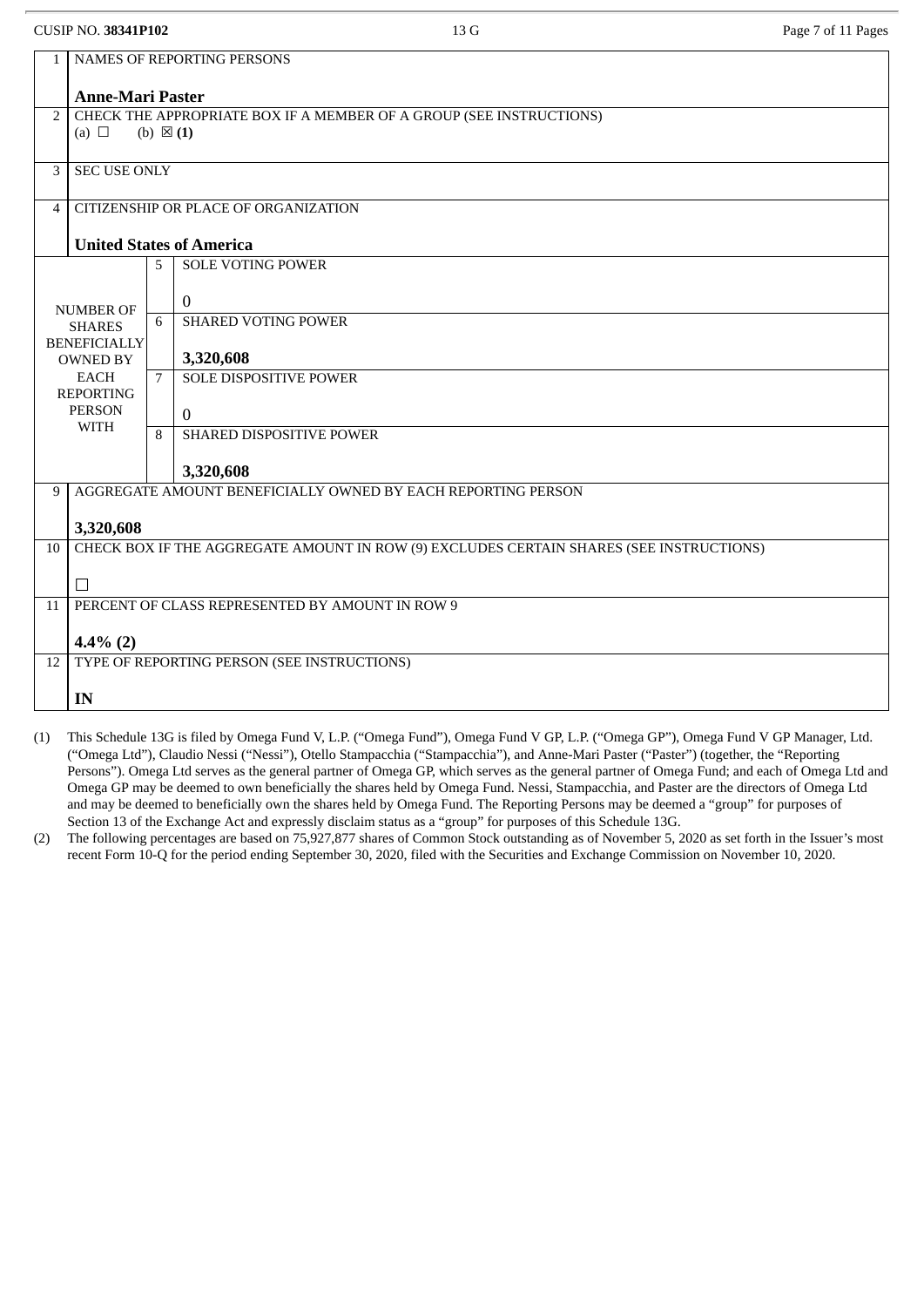| $\mathbf{1}$    | <b>NAMES OF REPORTING PERSONS</b>                                                       |                     |                                                                     |  |  |  |  |
|-----------------|-----------------------------------------------------------------------------------------|---------------------|---------------------------------------------------------------------|--|--|--|--|
|                 | <b>Anne-Mari Paster</b>                                                                 |                     |                                                                     |  |  |  |  |
| $\overline{2}$  |                                                                                         |                     | CHECK THE APPROPRIATE BOX IF A MEMBER OF A GROUP (SEE INSTRUCTIONS) |  |  |  |  |
|                 | (a) $\Box$                                                                              | (b) $\boxtimes$ (1) |                                                                     |  |  |  |  |
| 3               | <b>SEC USE ONLY</b>                                                                     |                     |                                                                     |  |  |  |  |
|                 |                                                                                         |                     |                                                                     |  |  |  |  |
| 4               |                                                                                         |                     | CITIZENSHIP OR PLACE OF ORGANIZATION                                |  |  |  |  |
|                 |                                                                                         |                     | <b>United States of America</b>                                     |  |  |  |  |
|                 |                                                                                         | 5                   | <b>SOLE VOTING POWER</b>                                            |  |  |  |  |
|                 |                                                                                         |                     |                                                                     |  |  |  |  |
|                 | <b>NUMBER OF</b>                                                                        | 6                   | $\bf{0}$<br><b>SHARED VOTING POWER</b>                              |  |  |  |  |
|                 | <b>SHARES</b><br><b>BENEFICIALLY</b>                                                    |                     |                                                                     |  |  |  |  |
|                 | <b>OWNED BY</b>                                                                         |                     | 3,320,608                                                           |  |  |  |  |
|                 | <b>EACH</b>                                                                             | $7\overline{ }$     | <b>SOLE DISPOSITIVE POWER</b>                                       |  |  |  |  |
|                 | <b>REPORTING</b><br><b>PERSON</b>                                                       |                     |                                                                     |  |  |  |  |
|                 | <b>WITH</b>                                                                             |                     | $\mathbf{0}$                                                        |  |  |  |  |
|                 |                                                                                         | 8                   | <b>SHARED DISPOSITIVE POWER</b>                                     |  |  |  |  |
|                 |                                                                                         |                     | 3,320,608                                                           |  |  |  |  |
| 9               |                                                                                         |                     | AGGREGATE AMOUNT BENEFICIALLY OWNED BY EACH REPORTING PERSON        |  |  |  |  |
|                 | 3,320,608                                                                               |                     |                                                                     |  |  |  |  |
| 10 <sup>°</sup> | CHECK BOX IF THE AGGREGATE AMOUNT IN ROW (9) EXCLUDES CERTAIN SHARES (SEE INSTRUCTIONS) |                     |                                                                     |  |  |  |  |
|                 |                                                                                         |                     |                                                                     |  |  |  |  |
|                 | П                                                                                       |                     |                                                                     |  |  |  |  |
| 11              | PERCENT OF CLASS REPRESENTED BY AMOUNT IN ROW 9                                         |                     |                                                                     |  |  |  |  |
|                 | $4.4\%$ (2)                                                                             |                     |                                                                     |  |  |  |  |
| 12              |                                                                                         |                     | TYPE OF REPORTING PERSON (SEE INSTRUCTIONS)                         |  |  |  |  |
|                 | IN                                                                                      |                     |                                                                     |  |  |  |  |
|                 |                                                                                         |                     |                                                                     |  |  |  |  |

- (1) This Schedule 13G is filed by Omega Fund V, L.P. ("Omega Fund"), Omega Fund V GP, L.P. ("Omega GP"), Omega Fund V GP Manager, Ltd. ("Omega Ltd"), Claudio Nessi ("Nessi"), Otello Stampacchia ("Stampacchia"), and Anne-Mari Paster ("Paster") (together, the "Reporting Persons"). Omega Ltd serves as the general partner of Omega GP, which serves as the general partner of Omega Fund; and each of Omega Ltd and Omega GP may be deemed to own beneficially the shares held by Omega Fund. Nessi, Stampacchia, and Paster are the directors of Omega Ltd and may be deemed to beneficially own the shares held by Omega Fund. The Reporting Persons may be deemed a "group" for purposes of Section 13 of the Exchange Act and expressly disclaim status as a "group" for purposes of this Schedule 13G.
- (2) The following percentages are based on 75,927,877 shares of Common Stock outstanding as of November 5, 2020 as set forth in the Issuer's most recent Form 10-Q for the period ending September 30, 2020, filed with the Securities and Exchange Commission on November 10, 2020.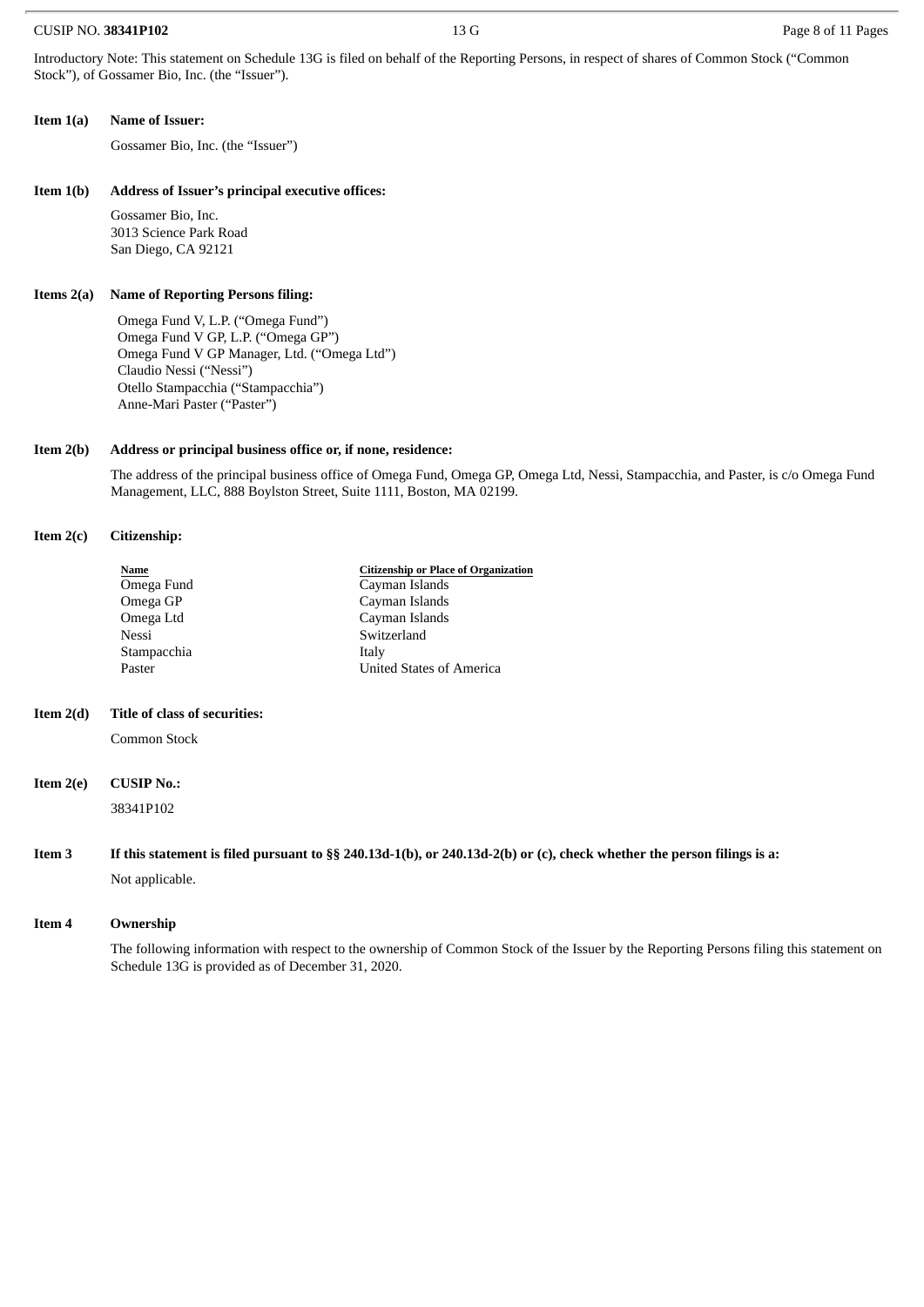#### CUSIP NO. **38341P102** 13 G Page 8 of 11 Pages

Introductory Note: This statement on Schedule 13G is filed on behalf of the Reporting Persons, in respect of shares of Common Stock ("Common Stock"), of Gossamer Bio, Inc. (the "Issuer").

#### **Item 1(a) Name of Issuer:**

Gossamer Bio, Inc. (the "Issuer")

#### **Item 1(b) Address of Issuer's principal executive offices:**

Gossamer Bio, Inc. 3013 Science Park Road San Diego, CA 92121

#### **Items 2(a) Name of Reporting Persons filing:**

Omega Fund V, L.P. ("Omega Fund") Omega Fund V GP, L.P. ("Omega GP") Omega Fund V GP Manager, Ltd. ("Omega Ltd") Claudio Nessi ("Nessi") Otello Stampacchia ("Stampacchia") Anne-Mari Paster ("Paster")

### **Item 2(b) Address or principal business office or, if none, residence:**

The address of the principal business office of Omega Fund, Omega GP, Omega Ltd, Nessi, Stampacchia, and Paster, is c/o Omega Fund Management, LLC, 888 Boylston Street, Suite 1111, Boston, MA 02199.

#### **Item 2(c) Citizenship:**

| Name        | <b>Citizenship or Place of Organization</b> |
|-------------|---------------------------------------------|
| Omega Fund  | Cayman Islands                              |
| Omega GP    | Cayman Islands                              |
| Omega Ltd   | Cayman Islands                              |
| Nessi       | Switzerland                                 |
| Stampacchia | Italy                                       |
| Paster      | United States of America                    |

#### **Item 2(d) Title of class of securities:**

Common Stock

#### **Item 2(e) CUSIP No.:**

38341P102

# Item 3 If this statement is filed pursuant to §§ 240.13d-1(b), or 240.13d-2(b) or (c), check whether the person filings is a: Not applicable.

#### **Item 4 Ownership**

The following information with respect to the ownership of Common Stock of the Issuer by the Reporting Persons filing this statement on Schedule 13G is provided as of December 31, 2020.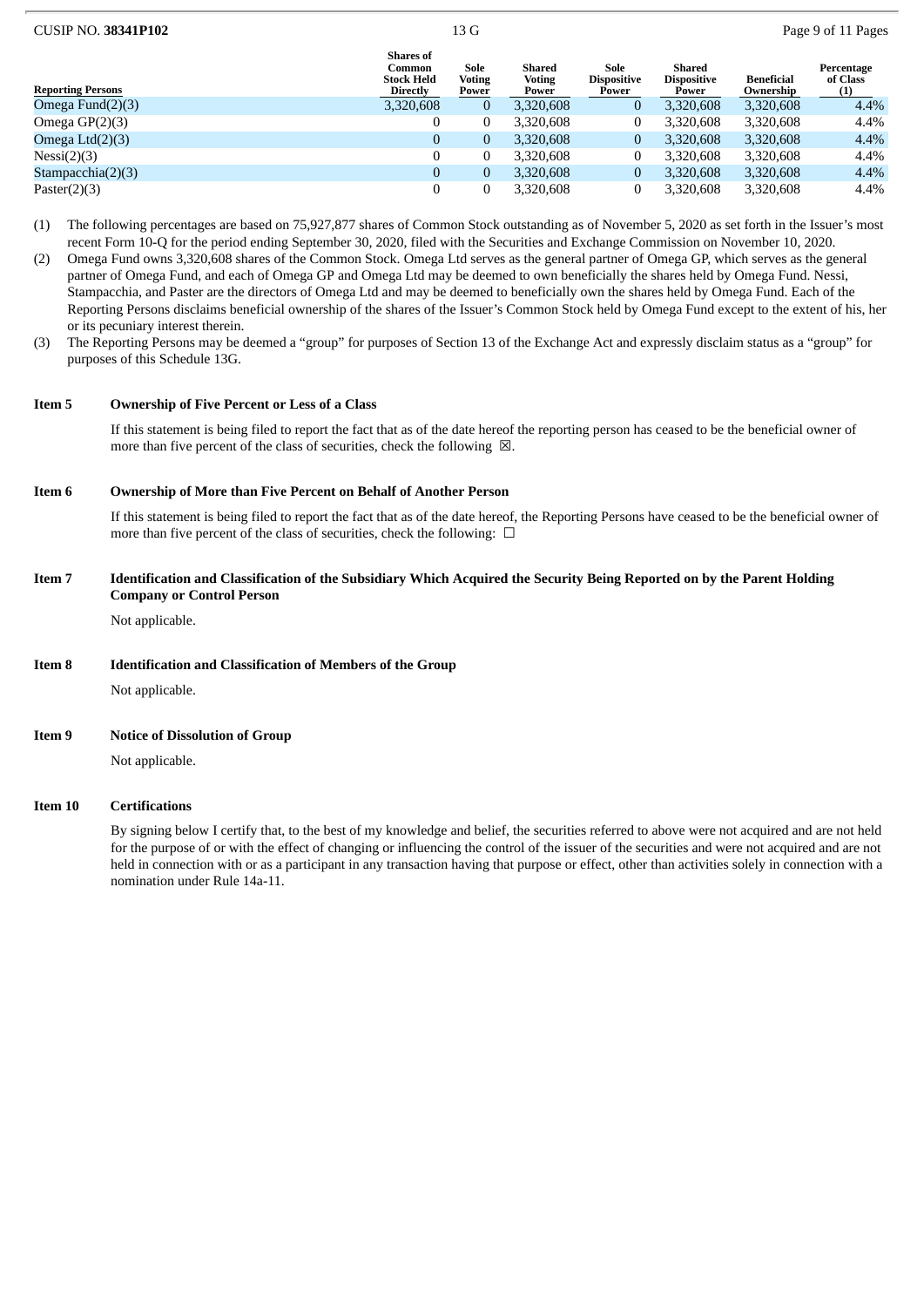| <b>CUSIP NO. 38341P102</b> |                                                             | 13G                     |                                  |                                     |                                       | Page 9 of 11 Pages             |                               |
|----------------------------|-------------------------------------------------------------|-------------------------|----------------------------------|-------------------------------------|---------------------------------------|--------------------------------|-------------------------------|
| <b>Reporting Persons</b>   | <b>Shares of</b><br>Common<br><b>Stock Held</b><br>Directly | Sole<br>Voting<br>Power | Shared<br><b>Voting</b><br>Power | Sole<br><b>Dispositive</b><br>Power | Shared<br><b>Dispositive</b><br>Power | <b>Beneficial</b><br>Ownership | Percentage<br>of Class<br>(1) |
| Omega Fund $(2)(3)$        | 3,320,608                                                   | 0                       | 3,320,608                        | $\mathbf{0}$                        | 3,320,608                             | 3,320,608                      | $4.4\%$                       |
| Omega $GP(2)(3)$           | 0                                                           |                         | 3,320,608                        | 0                                   | 3,320,608                             | 3,320,608                      | 4.4%                          |
| Omega $Ltd(2)(3)$          | $\mathbf{0}$                                                | 0                       | 3,320,608                        | $\bf{0}$                            | 3,320,608                             | 3,320,608                      | $4.4\%$                       |
| Nessi(2)(3)                | $\Omega$                                                    |                         | 3,320,608                        | $\mathbf{0}$                        | 3,320,608                             | 3,320,608                      | 4.4%                          |
| Stampacchia $(2)(3)$       | $\mathbf{0}$                                                | 0                       | 3,320,608                        | $\overline{0}$                      | 3,320,608                             | 3,320,608                      | $4.4\%$                       |
| Paster $(2)(3)$            | 0                                                           |                         | 3,320,608                        | 0                                   | 3.320.608                             | 3,320,608                      | 4.4%                          |

- (1) The following percentages are based on 75,927,877 shares of Common Stock outstanding as of November 5, 2020 as set forth in the Issuer's most recent Form 10-Q for the period ending September 30, 2020, filed with the Securities and Exchange Commission on November 10, 2020.
- (2) Omega Fund owns 3,320,608 shares of the Common Stock. Omega Ltd serves as the general partner of Omega GP, which serves as the general partner of Omega Fund, and each of Omega GP and Omega Ltd may be deemed to own beneficially the shares held by Omega Fund. Nessi, Stampacchia, and Paster are the directors of Omega Ltd and may be deemed to beneficially own the shares held by Omega Fund. Each of the Reporting Persons disclaims beneficial ownership of the shares of the Issuer's Common Stock held by Omega Fund except to the extent of his, her or its pecuniary interest therein.
- (3) The Reporting Persons may be deemed a "group" for purposes of Section 13 of the Exchange Act and expressly disclaim status as a "group" for purposes of this Schedule 13G.

## **Item 5 Ownership of Five Percent or Less of a Class**

If this statement is being filed to report the fact that as of the date hereof the reporting person has ceased to be the beneficial owner of more than five percent of the class of securities, check the following  $\boxtimes$ .

#### **Item 6 Ownership of More than Five Percent on Behalf of Another Person**

If this statement is being filed to report the fact that as of the date hereof, the Reporting Persons have ceased to be the beneficial owner of more than five percent of the class of securities, check the following:  $\Box$ 

#### Item 7 Identification and Classification of the Subsidiary Which Acquired the Security Being Reported on by the Parent Holding **Company or Control Person**

Not applicable.

## **Item 8 Identification and Classification of Members of the Group**

Not applicable.

#### **Item 9 Notice of Dissolution of Group**

Not applicable.

#### **Item 10 Certifications**

By signing below I certify that, to the best of my knowledge and belief, the securities referred to above were not acquired and are not held for the purpose of or with the effect of changing or influencing the control of the issuer of the securities and were not acquired and are not held in connection with or as a participant in any transaction having that purpose or effect, other than activities solely in connection with a nomination under Rule 14a-11.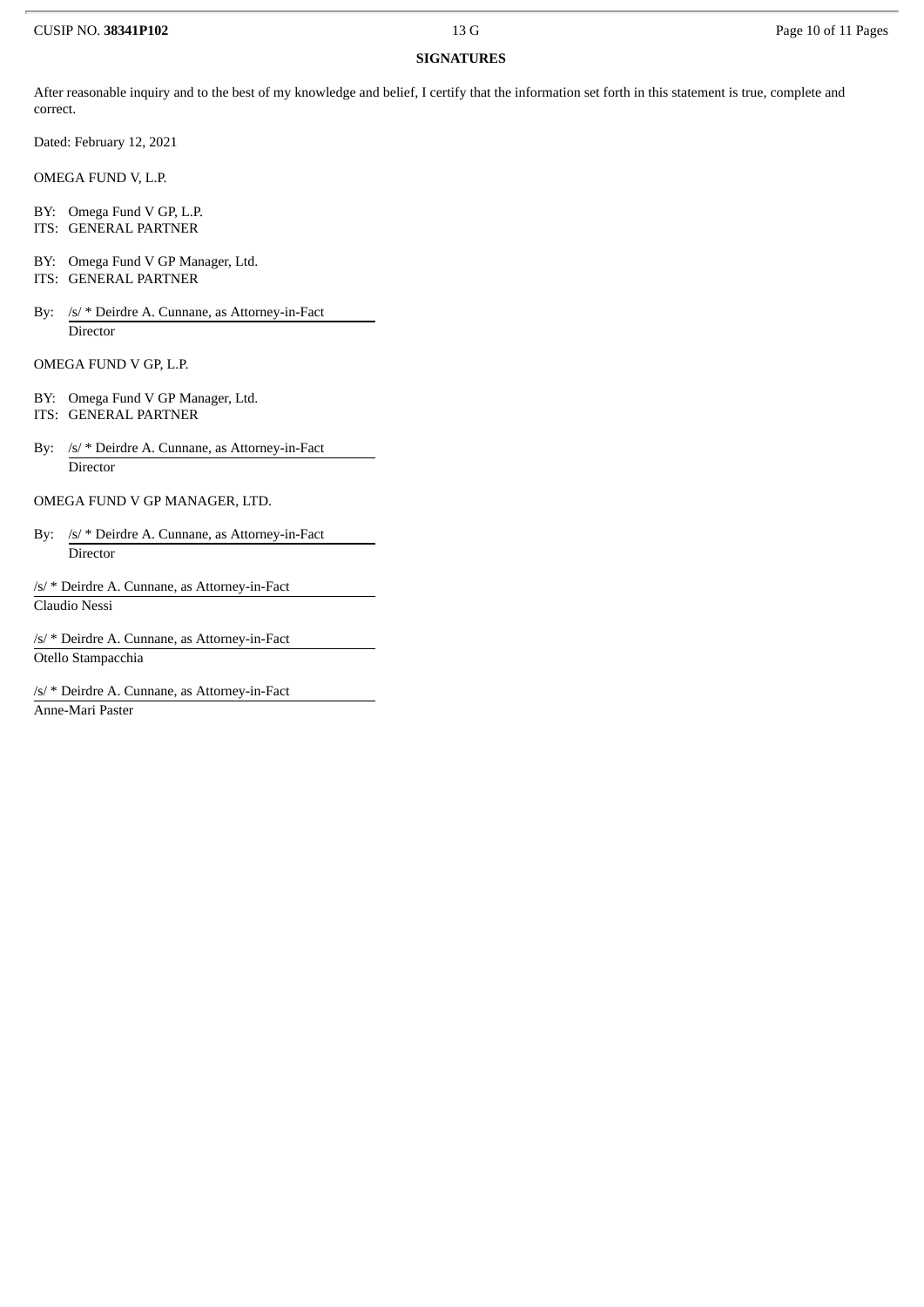## CUSIP NO. **38341P102** 13 G Page 10 of 11 Pages

# **SIGNATURES**

After reasonable inquiry and to the best of my knowledge and belief, I certify that the information set forth in this statement is true, complete and correct.

Dated: February 12, 2021

OMEGA FUND V, L.P.

BY: Omega Fund V GP, L.P.

- ITS: GENERAL PARTNER
- BY: Omega Fund V GP Manager, Ltd.
- ITS: GENERAL PARTNER
- By: /s/ \* Deirdre A. Cunnane, as Attorney-in-Fact **Director**

OMEGA FUND V GP, L.P.

- BY: Omega Fund V GP Manager, Ltd. ITS: GENERAL PARTNER
- By: /s/ \* Deirdre A. Cunnane, as Attorney-in-Fact **Director**

OMEGA FUND V GP MANAGER, LTD.

By: /s/ \* Deirdre A. Cunnane, as Attorney-in-Fact Director

/s/ \* Deirdre A. Cunnane, as Attorney-in-Fact Claudio Nessi

/s/ \* Deirdre A. Cunnane, as Attorney-in-Fact Otello Stampacchia

/s/ \* Deirdre A. Cunnane, as Attorney-in-Fact Anne-Mari Paster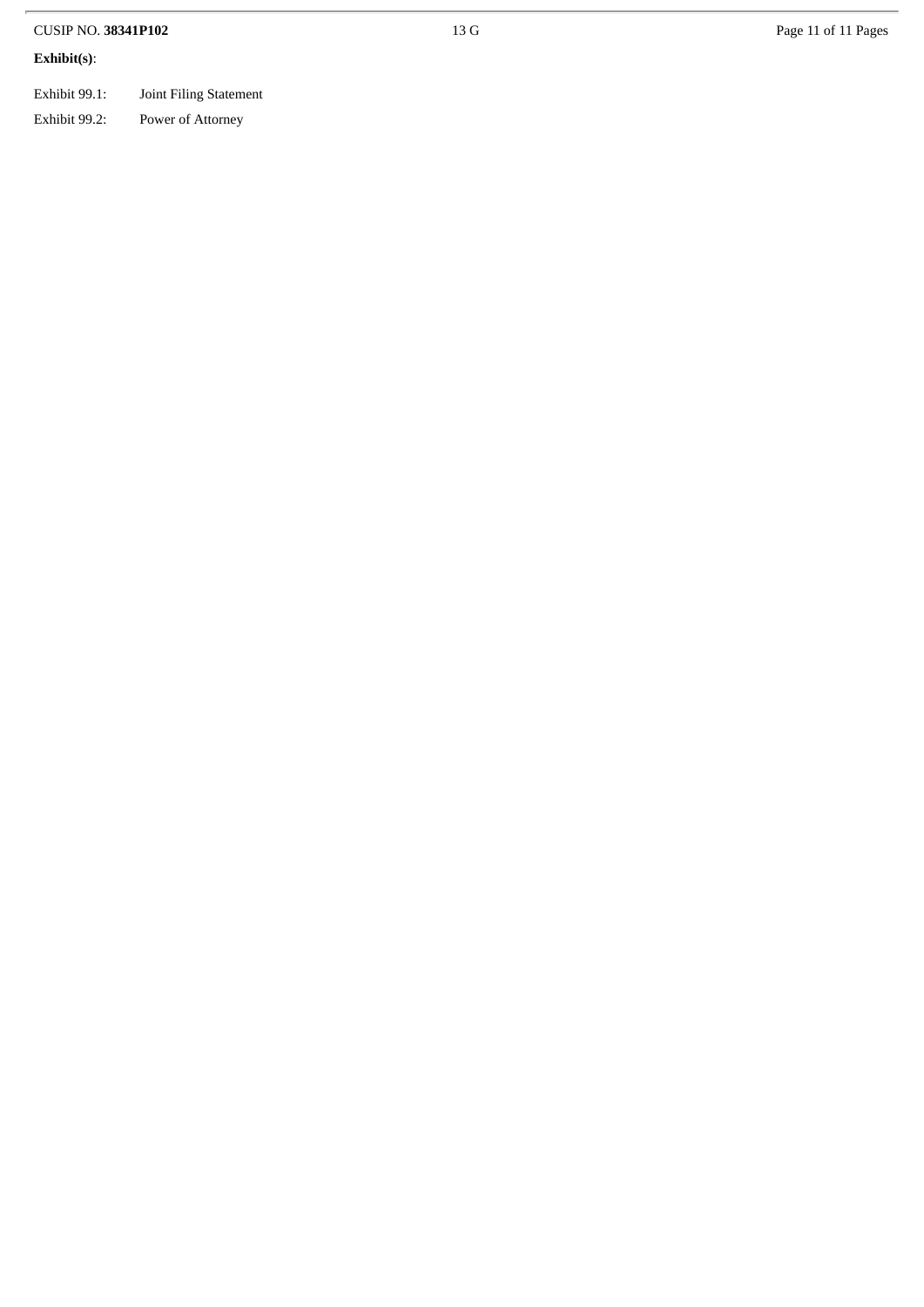| CUSIP NO. 38341P102 | 13 G |
|---------------------|------|
| Exhibit(s):         |      |

| Exhibit 99.1: | Joint 1 |
|---------------|---------|

oint Filing Statement Exhibit 99.2: Po ower of Attorney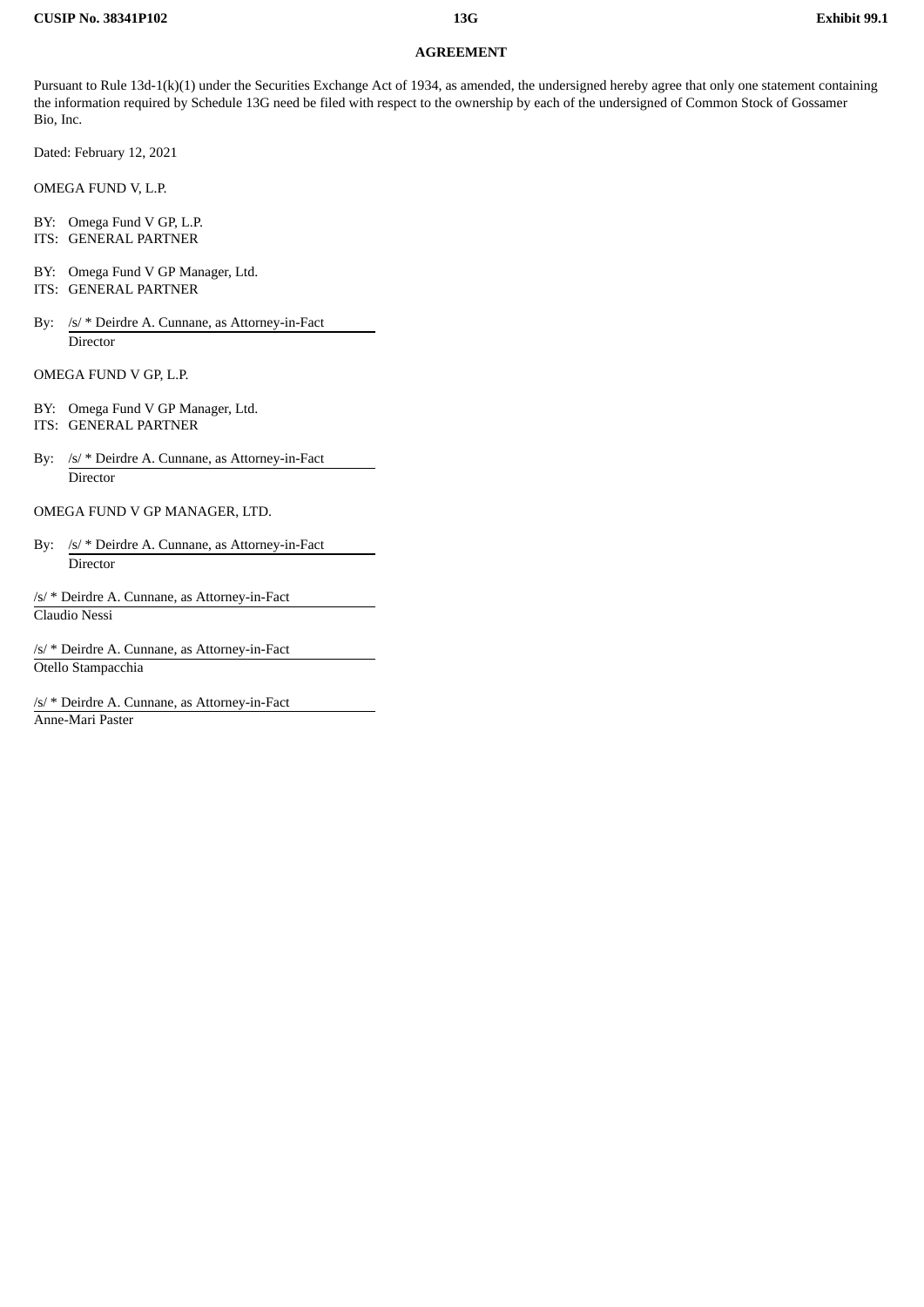#### **AGREEMENT**

Pursuant to Rule 13d-1(k)(1) under the Securities Exchange Act of 1934, as amended, the undersigned hereby agree that only one statement containing the information required by Schedule 13G need be filed with respect to the ownership by each of the undersigned of Common Stock of Gossamer Bio, Inc.

Dated: February 12, 2021

OMEGA FUND V, L.P.

BY: Omega Fund V GP, L.P. ITS: GENERAL PARTNER

BY: Omega Fund V GP Manager, Ltd.

- ITS: GENERAL PARTNER
- By: /s/ \* Deirdre A. Cunnane, as Attorney-in-Fact Director

OMEGA FUND V GP, L.P.

- BY: Omega Fund V GP Manager, Ltd. ITS: GENERAL PARTNER
- By: /s/ \* Deirdre A. Cunnane, as Attorney-in-Fact **Director**

OMEGA FUND V GP MANAGER, LTD.

- By: /s/ \* Deirdre A. Cunnane, as Attorney-in-Fact Director
- /s/ \* Deirdre A. Cunnane, as Attorney-in-Fact Claudio Nessi

/s/ \* Deirdre A. Cunnane, as Attorney-in-Fact Otello Stampacchia

/s/ \* Deirdre A. Cunnane, as Attorney-in-Fact Anne-Mari Paster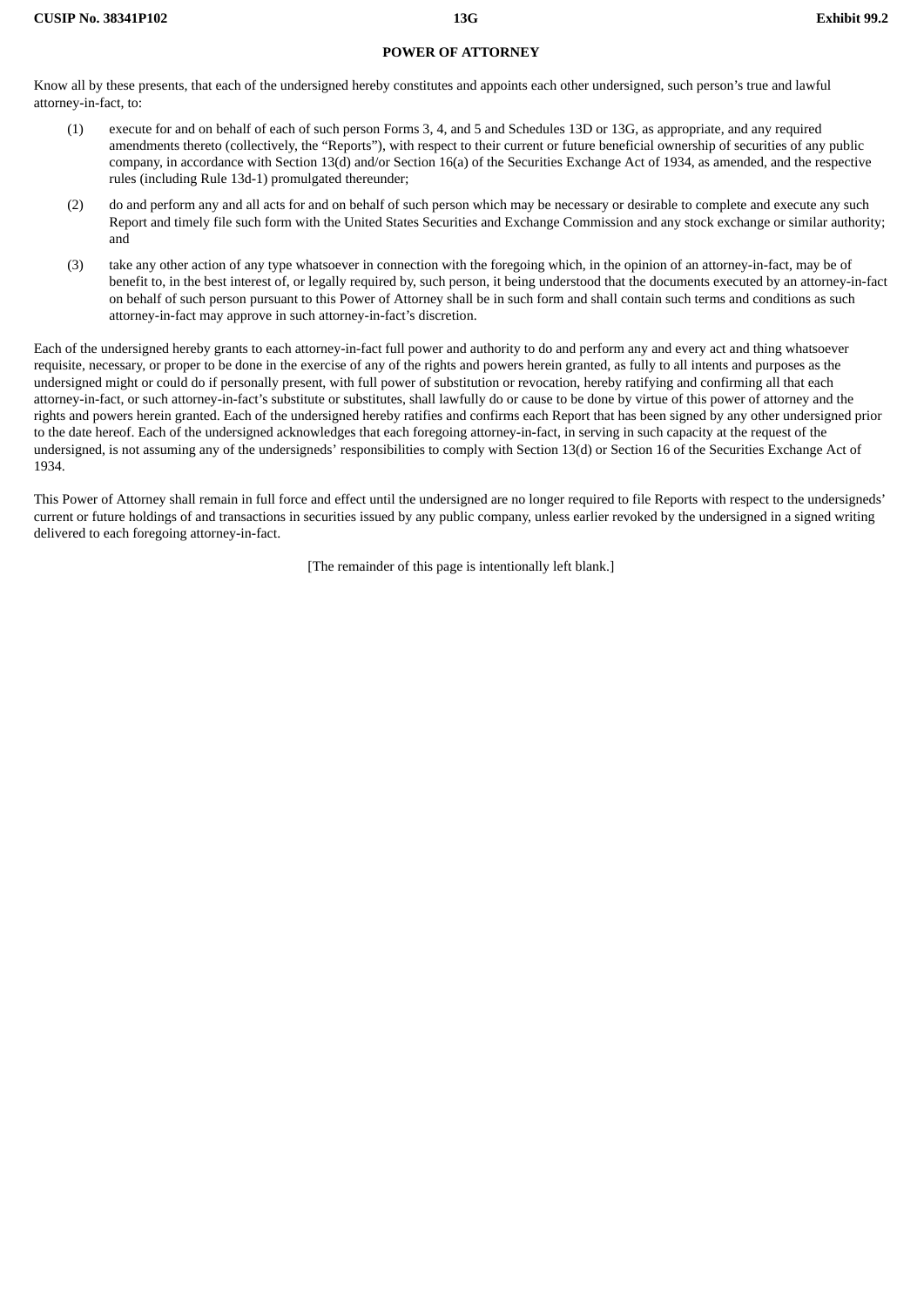#### **POWER OF ATTORNEY**

Know all by these presents, that each of the undersigned hereby constitutes and appoints each other undersigned, such person's true and lawful attorney-in-fact, to:

- (1) execute for and on behalf of each of such person Forms 3, 4, and 5 and Schedules 13D or 13G, as appropriate, and any required amendments thereto (collectively, the "Reports"), with respect to their current or future beneficial ownership of securities of any public company, in accordance with Section 13(d) and/or Section 16(a) of the Securities Exchange Act of 1934, as amended, and the respective rules (including Rule 13d-1) promulgated thereunder;
- (2) do and perform any and all acts for and on behalf of such person which may be necessary or desirable to complete and execute any such Report and timely file such form with the United States Securities and Exchange Commission and any stock exchange or similar authority; and
- (3) take any other action of any type whatsoever in connection with the foregoing which, in the opinion of an attorney-in-fact, may be of benefit to, in the best interest of, or legally required by, such person, it being understood that the documents executed by an attorney-in-fact on behalf of such person pursuant to this Power of Attorney shall be in such form and shall contain such terms and conditions as such attorney-in-fact may approve in such attorney-in-fact's discretion.

Each of the undersigned hereby grants to each attorney-in-fact full power and authority to do and perform any and every act and thing whatsoever requisite, necessary, or proper to be done in the exercise of any of the rights and powers herein granted, as fully to all intents and purposes as the undersigned might or could do if personally present, with full power of substitution or revocation, hereby ratifying and confirming all that each attorney-in-fact, or such attorney-in-fact's substitute or substitutes, shall lawfully do or cause to be done by virtue of this power of attorney and the rights and powers herein granted. Each of the undersigned hereby ratifies and confirms each Report that has been signed by any other undersigned prior to the date hereof. Each of the undersigned acknowledges that each foregoing attorney-in-fact, in serving in such capacity at the request of the undersigned, is not assuming any of the undersigneds' responsibilities to comply with Section 13(d) or Section 16 of the Securities Exchange Act of 1934.

This Power of Attorney shall remain in full force and effect until the undersigned are no longer required to file Reports with respect to the undersigneds' current or future holdings of and transactions in securities issued by any public company, unless earlier revoked by the undersigned in a signed writing delivered to each foregoing attorney-in-fact.

[The remainder of this page is intentionally left blank.]